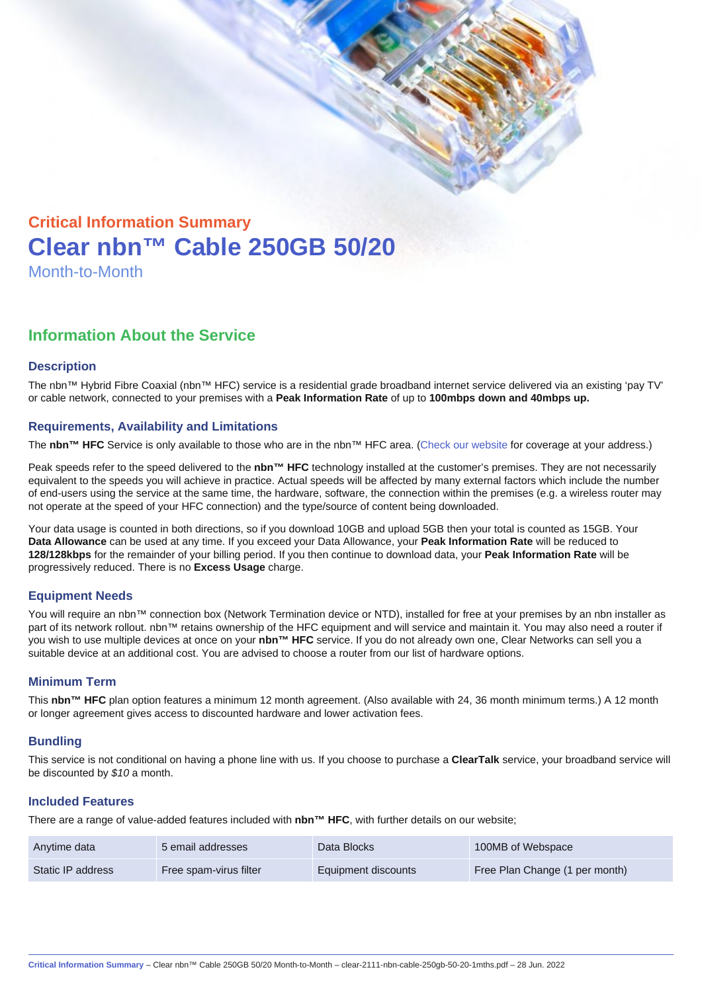# Critical Information Summary Clear nbn™ Cable 250GB 50/20 Month-to-Month

## Information About the Service

#### **Description**

The nbn™ Hybrid Fibre Coaxial (nbn™ HFC) service is a residential grade broadband internet service delivered via an existing 'pay TV' or cable network, connected to your premises with a Peak Information Rate of up to 100mbps down and 40mbps up.

#### Requirements, Availability and Limitations

The nbn™ HFC Service is only available to those who are in the nbn™ HFC area. ([Check our website](https://www.clear.com.au/business/nbn-fixed/) for coverage at your address.)

Peak speeds refer to the speed delivered to the nbn™ HFC technology installed at the customer's premises. They are not necessarily equivalent to the speeds you will achieve in practice. Actual speeds will be affected by many external factors which include the number of end-users using the service at the same time, the hardware, software, the connection within the premises (e.g. a wireless router may not operate at the speed of your HFC connection) and the type/source of content being downloaded.

Your data usage is counted in both directions, so if you download 10GB and upload 5GB then your total is counted as 15GB. Your Data Allowance can be used at any time. If you exceed your Data Allowance, your Peak Information Rate will be reduced to 128/128kbps for the remainder of your billing period. If you then continue to download data, your Peak Information Rate will be progressively reduced. There is no Excess Usage charge.

#### Equipment Needs

You will require an nbn™ connection box (Network Termination device or NTD), installed for free at your premises by an nbn installer as part of its network rollout. nbn™ retains ownership of the HFC equipment and will service and maintain it. You may also need a router if you wish to use multiple devices at once on your nbn™ HFC service. If you do not already own one, Clear Networks can sell you a suitable device at an additional cost. You are advised to choose a router from our list of hardware options.

#### Minimum Term

This nbn™ HFC plan option features a minimum 12 month agreement. (Also available with 24, 36 month minimum terms.) A 12 month or longer agreement gives access to discounted hardware and lower activation fees.

#### **Bundling**

This service is not conditional on having a phone line with us. If you choose to purchase a ClearTalk service, your broadband service will be discounted by \$10 a month.

#### Included Features

There are a range of value-added features included with nbn™ HFC , with further details on our website;

| Anytime data      | 5 email addresses      | Data Blocks         | 100MB of Webspace              |
|-------------------|------------------------|---------------------|--------------------------------|
| Static IP address | Free spam-virus filter | Equipment discounts | Free Plan Change (1 per month) |